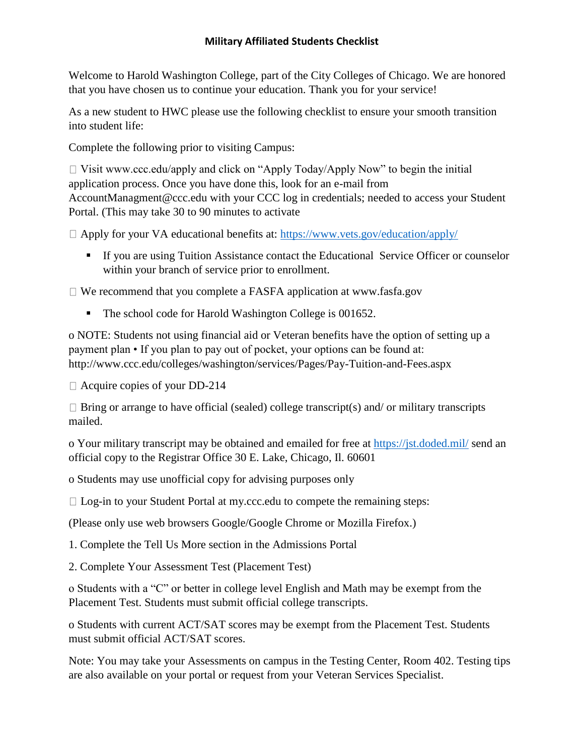## **Military Affiliated Students Checklist**

Welcome to Harold Washington College, part of the City Colleges of Chicago. We are honored that you have chosen us to continue your education. Thank you for your service!

As a new student to HWC please use the following checklist to ensure your smooth transition into student life:

Complete the following prior to visiting Campus:

 $\Box$  Visit www.ccc.edu/apply and click on "Apply Today/Apply Now" to begin the initial application process. Once you have done this, look for an e-mail from AccountManagment@ccc.edu with your CCC log in credentials; needed to access your Student Portal. (This may take 30 to 90 minutes to activate

 $\Box$  Apply for your VA educational benefits at:<https://www.vets.gov/education/apply/>

▪ If you are using Tuition Assistance contact the Educational Service Officer or counselor within your branch of service prior to enrollment.

 $\Box$  We recommend that you complete a FASFA application at www.fasfa.gov

■ The school code for Harold Washington College is 001652.

o NOTE: Students not using financial aid or Veteran benefits have the option of setting up a payment plan • If you plan to pay out of pocket, your options can be found at: http://www.ccc.edu/colleges/washington/services/Pages/Pay-Tuition-and-Fees.aspx

□ Acquire copies of your DD-214

 $\Box$  Bring or arrange to have official (sealed) college transcript(s) and/ or military transcripts mailed.

o Your military transcript may be obtained and emailed for free at<https://jst.doded.mil/> send an official copy to the Registrar Office 30 E. Lake, Chicago, Il. 60601

o Students may use unofficial copy for advising purposes only

 $\Box$  Log-in to your Student Portal at my.ccc.edu to compete the remaining steps:

(Please only use web browsers Google/Google Chrome or Mozilla Firefox.)

1. Complete the Tell Us More section in the Admissions Portal

2. Complete Your Assessment Test (Placement Test)

o Students with a "C" or better in college level English and Math may be exempt from the Placement Test. Students must submit official college transcripts.

o Students with current ACT/SAT scores may be exempt from the Placement Test. Students must submit official ACT/SAT scores.

Note: You may take your Assessments on campus in the Testing Center, Room 402. Testing tips are also available on your portal or request from your Veteran Services Specialist.